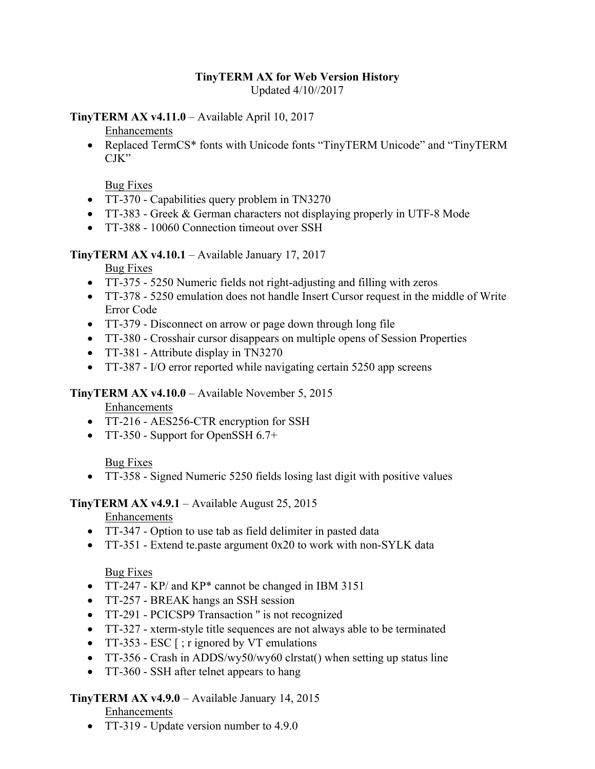#### **TinyTERM AX for Web Version History**  Updated 4/10//2017

**TinyTERM AX v4.11.0** – Available April 10, 2017

Enhancements

• Replaced TermCS\* fonts with Unicode fonts "TinyTERM Unicode" and "TinyTERM CJK"

Bug Fixes

- TT-370 Capabilities query problem in TN3270
- TT-383 Greek & German characters not displaying properly in UTF-8 Mode
- TT-388 10060 Connection timeout over SSH

#### **TinyTERM AX v4.10.1** – Available January 17, 2017

Bug Fixes

- TT-375 5250 Numeric fields not right-adjusting and filling with zeros
- TT-378 5250 emulation does not handle Insert Cursor request in the middle of Write Error Code
- TT-379 Disconnect on arrow or page down through long file
- TT-380 Crosshair cursor disappears on multiple opens of Session Properties
- TT-381 Attribute display in TN3270
- TT-387 I/O error reported while navigating certain 5250 app screens

#### **TinyTERM AX v4.10.0** – Available November 5, 2015

Enhancements

- TT-216 AES256-CTR encryption for SSH
- TT-350 Support for OpenSSH 6.7+

Bug Fixes

• TT-358 - Signed Numeric 5250 fields losing last digit with positive values

#### **TinyTERM AX v4.9.1** – Available August 25, 2015

Enhancements

- TT-347 Option to use tab as field delimiter in pasted data
- TT-351 Extend te.paste argument 0x20 to work with non-SYLK data

## Bug Fixes

- TT-247 KP/ and KP\* cannot be changed in IBM 3151
- TT-257 BREAK hangs an SSH session
- TT-291 PCICSP9 Transaction '' is not recognized
- TT-327 xterm-style title sequences are not always able to be terminated
- TT-353 ESC [ ; r ignored by VT emulations
- TT-356 Crash in ADDS/wy50/wy60 clrstat() when setting up status line
- TT-360 SSH after telnet appears to hang

## **TinyTERM AX v4.9.0** – Available January 14, 2015

Enhancements

• TT-319 - Update version number to 4.9.0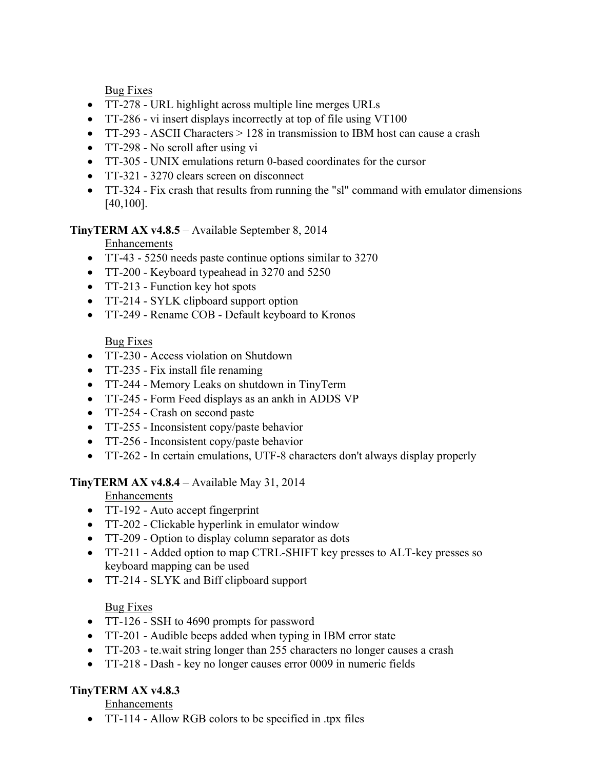Bug Fixes

- TT-278 URL highlight across multiple line merges URLs
- TT-286 vi insert displays incorrectly at top of file using VT100
- TT-293 ASCII Characters > 128 in transmission to IBM host can cause a crash
- TT-298 No scroll after using vi
- TT-305 UNIX emulations return 0-based coordinates for the cursor
- TT-321 3270 clears screen on disconnect
- TT-324 Fix crash that results from running the "sl" command with emulator dimensions [40,100].

## **TinyTERM AX v4.8.5** – Available September 8, 2014

Enhancements

- TT-43 5250 needs paste continue options similar to 3270
- TT-200 Keyboard typeahead in 3270 and 5250
- TT-213 Function key hot spots
- TT-214 SYLK clipboard support option
- TT-249 Rename COB Default keyboard to Kronos

Bug Fixes

- TT-230 Access violation on Shutdown
- TT-235 Fix install file renaming
- TT-244 Memory Leaks on shutdown in TinyTerm
- TT-245 Form Feed displays as an ankh in ADDS VP
- TT-254 Crash on second paste
- TT-255 Inconsistent copy/paste behavior
- TT-256 Inconsistent copy/paste behavior
- TT-262 In certain emulations, UTF-8 characters don't always display properly

# **TinyTERM AX v4.8.4** – Available May 31, 2014

Enhancements

- TT-192 Auto accept fingerprint
- TT-202 Clickable hyperlink in emulator window
- TT-209 Option to display column separator as dots
- TT-211 Added option to map CTRL-SHIFT key presses to ALT-key presses so keyboard mapping can be used
- TT-214 SLYK and Biff clipboard support

Bug Fixes

- TT-126 SSH to 4690 prompts for password
- TT-201 Audible beeps added when typing in IBM error state
- TT-203 te.wait string longer than 255 characters no longer causes a crash
- TT-218 Dash key no longer causes error 0009 in numeric fields

# **TinyTERM AX v4.8.3**

Enhancements

• TT-114 - Allow RGB colors to be specified in .tpx files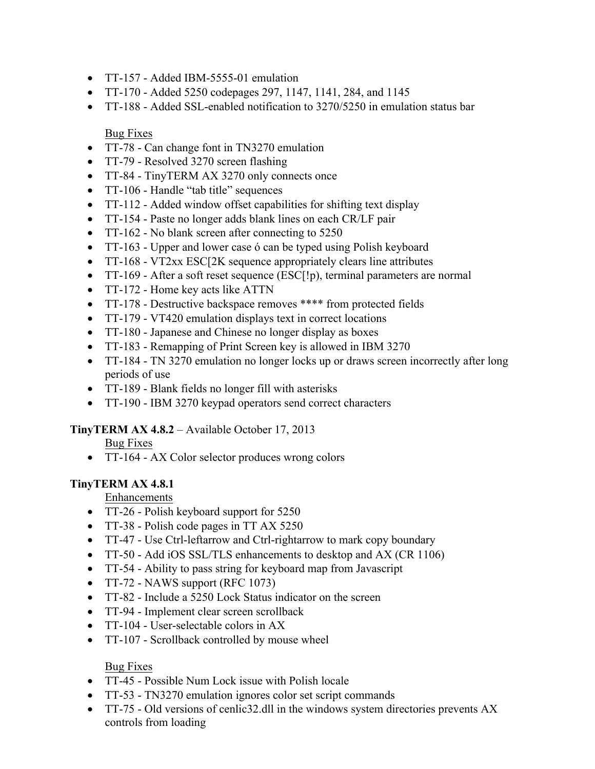- TT-157 Added IBM-5555-01 emulation
- TT-170 Added 5250 codepages 297, 1147, 1141, 284, and 1145
- TT-188 Added SSL-enabled notification to 3270/5250 in emulation status bar

#### Bug Fixes

- TT-78 Can change font in TN3270 emulation
- TT-79 Resolved 3270 screen flashing
- TT-84 TinyTERM AX 3270 only connects once
- TT-106 Handle "tab title" sequences
- TT-112 Added window offset capabilities for shifting text display
- TT-154 Paste no longer adds blank lines on each CR/LF pair
- TT-162 No blank screen after connecting to 5250
- TT-163 Upper and lower case ó can be typed using Polish keyboard
- TT-168 VT2xx ESC[2K sequence appropriately clears line attributes
- TT-169 After a soft reset sequence (ESC[!p), terminal parameters are normal
- TT-172 Home key acts like ATTN
- TT-178 Destructive backspace removes \*\*\*\* from protected fields
- TT-179 VT420 emulation displays text in correct locations
- TT-180 Japanese and Chinese no longer display as boxes
- TT-183 Remapping of Print Screen key is allowed in IBM 3270
- TT-184 TN 3270 emulation no longer locks up or draws screen incorrectly after long periods of use
- TT-189 Blank fields no longer fill with asterisks
- TT-190 IBM 3270 keypad operators send correct characters

## **TinyTERM AX 4.8.2** – Available October 17, 2013

Bug Fixes

• TT-164 - AX Color selector produces wrong colors

## **TinyTERM AX 4.8.1**

#### Enhancements

- TT-26 Polish keyboard support for 5250
- TT-38 Polish code pages in TT AX 5250
- TT-47 Use Ctrl-leftarrow and Ctrl-rightarrow to mark copy boundary
- TT-50 Add iOS SSL/TLS enhancements to desktop and AX (CR 1106)
- TT-54 Ability to pass string for keyboard map from Javascript
- TT-72 NAWS support (RFC 1073)
- TT-82 Include a 5250 Lock Status indicator on the screen
- TT-94 Implement clear screen scrollback
- TT-104 User-selectable colors in AX
- TT-107 Scrollback controlled by mouse wheel

## Bug Fixes

- TT-45 Possible Num Lock issue with Polish locale
- TT-53 TN3270 emulation ignores color set script commands
- TT-75 Old versions of cenlic32.dll in the windows system directories prevents AX controls from loading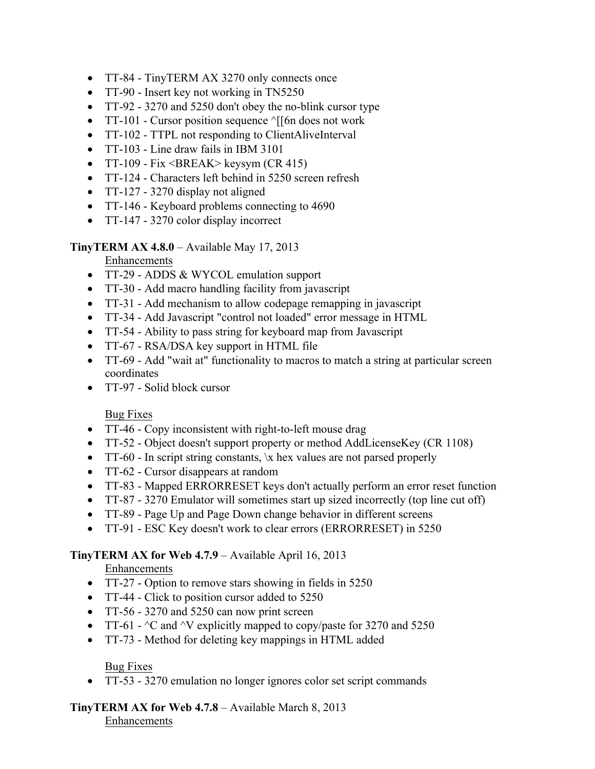- TT-84 TinyTERM AX 3270 only connects once
- TT-90 Insert key not working in TN5250
- TT-92 3270 and 5250 don't obey the no-blink cursor type
- TT-101 Cursor position sequence  $\sqrt{5}$  [6n does not work
- TT-102 TTPL not responding to ClientAliveInterval
- TT-103 Line draw fails in IBM 3101
- TT-109 Fix <BREAK> keysym  $(CR 415)$
- TT-124 Characters left behind in 5250 screen refresh
- TT-127 3270 display not aligned
- TT-146 Keyboard problems connecting to 4690
- TT-147 3270 color display incorrect

**TinyTERM AX 4.8.0** – Available May 17, 2013

Enhancements

- TT-29 ADDS & WYCOL emulation support
- TT-30 Add macro handling facility from javascript
- TT-31 Add mechanism to allow codepage remapping in javascript
- TT-34 Add Javascript "control not loaded" error message in HTML
- TT-54 Ability to pass string for keyboard map from Javascript
- TT-67 RSA/DSA key support in HTML file
- TT-69 Add "wait at" functionality to macros to match a string at particular screen coordinates
- TT-97 Solid block cursor

#### Bug Fixes

- TT-46 Copy inconsistent with right-to-left mouse drag
- TT-52 Object doesn't support property or method AddLicenseKey (CR 1108)
- TT-60 In script string constants,  $\lambda x$  hex values are not parsed properly
- TT-62 Cursor disappears at random
- TT-83 Mapped ERRORRESET keys don't actually perform an error reset function
- TT-87 3270 Emulator will sometimes start up sized incorrectly (top line cut off)
- TT-89 Page Up and Page Down change behavior in different screens
- TT-91 ESC Key doesn't work to clear errors (ERRORRESET) in 5250

## **TinyTERM AX for Web 4.7.9** – Available April 16, 2013

Enhancements

- TT-27 Option to remove stars showing in fields in 5250
- TT-44 Click to position cursor added to 5250
- TT-56 3270 and 5250 can now print screen
- TT-61  $\textdegree$ C and  $\textdegree$ V explicitly mapped to copy/paste for 3270 and 5250
- TT-73 Method for deleting key mappings in HTML added

## Bug Fixes

• TT-53 - 3270 emulation no longer ignores color set script commands

**TinyTERM AX for Web 4.7.8** – Available March 8, 2013 Enhancements